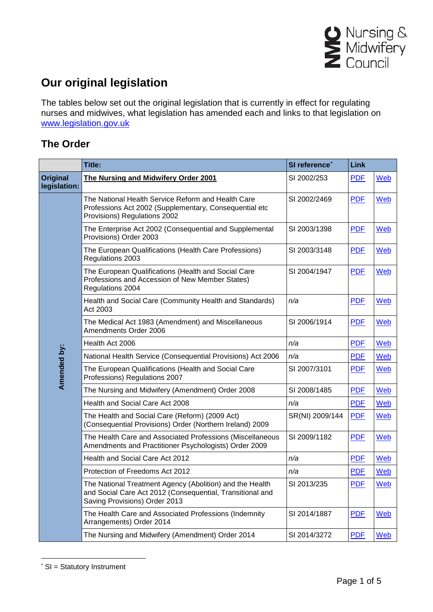

## **Our original legislation**

The tables below set out the original legislation that is currently in effect for regulating nurses and midwives, what legislation has amended each and links to that legislation on [www.legislation.gov.uk](http://www.legislation.gov.uk/)

## **The Order**

|                                 | Title:                                                                                                                                                 | SI reference <sup>*</sup> | <b>Link</b> |     |
|---------------------------------|--------------------------------------------------------------------------------------------------------------------------------------------------------|---------------------------|-------------|-----|
| <b>Original</b><br>legislation: | The Nursing and Midwifery Order 2001                                                                                                                   | SI 2002/253               | <b>PDF</b>  | Web |
|                                 | The National Health Service Reform and Health Care<br>Professions Act 2002 (Supplementary, Consequential etc<br>Provisions) Regulations 2002           | SI 2002/2469              | <b>PDF</b>  | Web |
|                                 | The Enterprise Act 2002 (Consequential and Supplemental<br>Provisions) Order 2003                                                                      | SI 2003/1398              | <b>PDF</b>  | Web |
|                                 | The European Qualifications (Health Care Professions)<br>Regulations 2003                                                                              | SI 2003/3148              | <b>PDF</b>  | Web |
|                                 | The European Qualifications (Health and Social Care<br>Professions and Accession of New Member States)<br>Regulations 2004                             | SI 2004/1947              | <b>PDF</b>  | Web |
|                                 | Health and Social Care (Community Health and Standards)<br>Act 2003                                                                                    | n/a                       | <b>PDF</b>  | Web |
|                                 | The Medical Act 1983 (Amendment) and Miscellaneous<br>Amendments Order 2006                                                                            | SI 2006/1914              | <b>PDF</b>  | Web |
|                                 | Health Act 2006                                                                                                                                        | n/a                       | <b>PDF</b>  | Web |
|                                 | National Health Service (Consequential Provisions) Act 2006                                                                                            | n/a                       | <b>PDF</b>  | Web |
| Amended by:                     | The European Qualifications (Health and Social Care<br>Professions) Regulations 2007                                                                   | SI 2007/3101              | <b>PDF</b>  | Web |
|                                 | The Nursing and Midwifery (Amendment) Order 2008                                                                                                       | SI 2008/1485              | <b>PDF</b>  | Web |
|                                 | Health and Social Care Act 2008                                                                                                                        | n/a                       | <b>PDF</b>  | Web |
|                                 | The Health and Social Care (Reform) (2009 Act)<br>(Consequential Provisions) Order (Northern Ireland) 2009                                             | SR(NI) 2009/144           | <b>PDF</b>  | Web |
|                                 | The Health Care and Associated Professions (Miscellaneous<br>Amendments and Practitioner Psychologists) Order 2009                                     | SI 2009/1182              | <b>PDF</b>  | Web |
|                                 | Health and Social Care Act 2012                                                                                                                        | n/a                       | <b>PDF</b>  | Web |
|                                 | Protection of Freedoms Act 2012                                                                                                                        | n/a                       | <b>PDF</b>  | Web |
|                                 | The National Treatment Agency (Abolition) and the Health<br>and Social Care Act 2012 (Consequential, Transitional and<br>Saving Provisions) Order 2013 | SI 2013/235               | <b>PDF</b>  | Web |
|                                 | The Health Care and Associated Professions (Indemnity<br>Arrangements) Order 2014                                                                      | SI 2014/1887              | <b>PDF</b>  | Web |
|                                 | The Nursing and Midwifery (Amendment) Order 2014                                                                                                       | SI 2014/3272              | <b>PDF</b>  | Web |

<span id="page-0-0"></span> <sup>\*</sup> SI = Statutory Instrument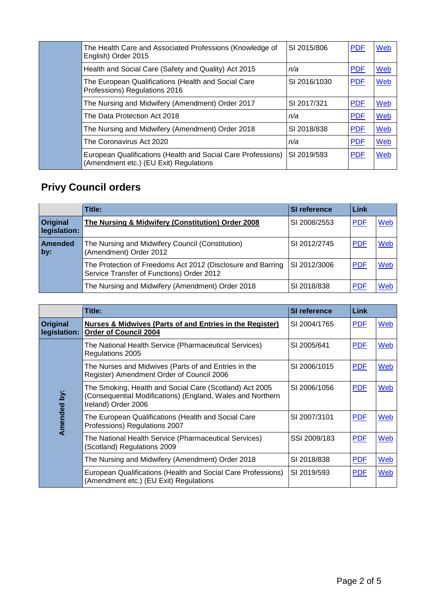| The Health Care and Associated Professions (Knowledge of<br>English) Order 2015                        | SI 2015/806  | <b>PDF</b> | Web        |
|--------------------------------------------------------------------------------------------------------|--------------|------------|------------|
| Health and Social Care (Safety and Quality) Act 2015                                                   | n/a          | <b>PDF</b> | Web        |
| The European Qualifications (Health and Social Care<br>Professions) Regulations 2016                   | SI 2016/1030 | <b>PDF</b> | Web        |
| The Nursing and Midwifery (Amendment) Order 2017                                                       | SI 2017/321  | <b>PDF</b> | Web        |
| The Data Protection Act 2018                                                                           | n/a          | <b>PDF</b> | <b>Web</b> |
| The Nursing and Midwifery (Amendment) Order 2018                                                       | SI 2018/838  | <b>PDF</b> | Web        |
| The Coronavirus Act 2020                                                                               | n/a          | <b>PDF</b> | Web        |
| European Qualifications (Health and Social Care Professions)<br>(Amendment etc.) (EU Exit) Regulations | SI 2019/593  | <b>PDF</b> | Web        |

## **Privy Council orders**

|                                 | Title:                                                                                                   | <b>SI reference</b> | <b>Link</b> |            |
|---------------------------------|----------------------------------------------------------------------------------------------------------|---------------------|-------------|------------|
| <b>Original</b><br>legislation: | The Nursing & Midwifery (Constitution) Order 2008                                                        | SI 2008/2553        | <b>PDF</b>  | Web        |
| <b>Amended</b><br>by:           | The Nursing and Midwifery Council (Constitution)<br>(Amendment) Order 2012                               | SI 2012/2745        | <b>PDF</b>  | <b>Web</b> |
|                                 | The Protection of Freedoms Act 2012 (Disclosure and Barring<br>Service Transfer of Functions) Order 2012 | SI 2012/3006        | <b>PDF</b>  | Web        |
|                                 | The Nursing and Midwifery (Amendment) Order 2018                                                         | SI 2018/838         | <b>PDF</b>  | Web        |

|                                 | Title:                                                                                                                                       | SI reference | Link       |     |
|---------------------------------|----------------------------------------------------------------------------------------------------------------------------------------------|--------------|------------|-----|
| <b>Original</b><br>legislation: | <b>Nurses &amp; Midwives (Parts of and Entries in the Register)</b><br><b>Order of Council 2004</b>                                          | SI 2004/1765 | <b>PDF</b> | Web |
|                                 | The National Health Service (Pharmaceutical Services)<br>Regulations 2005                                                                    | SI 2005/641  | <b>PDF</b> | Web |
|                                 | The Nurses and Midwives (Parts of and Entries in the<br>Register) Amendment Order of Council 2006                                            | SI 2006/1015 | <b>PDF</b> | Web |
| Amended by:                     | The Smoking, Health and Social Care (Scotland) Act 2005<br>(Consequential Modifications) (England, Wales and Northern<br>Ireland) Order 2006 | SI 2006/1056 | <b>PDF</b> | Web |
|                                 | The European Qualifications (Health and Social Care<br>Professions) Regulations 2007                                                         | SI 2007/3101 | <b>PDF</b> | Web |
|                                 | The National Health Service (Pharmaceutical Services)<br>(Scotland) Regulations 2009                                                         | SSI 2009/183 | <b>PDF</b> | Web |
|                                 | The Nursing and Midwifery (Amendment) Order 2018                                                                                             | SI 2018/838  | <b>PDF</b> | Web |
|                                 | European Qualifications (Health and Social Care Professions)<br>(Amendment etc.) (EU Exit) Regulations                                       | SI 2019/593  | <b>PDF</b> | Web |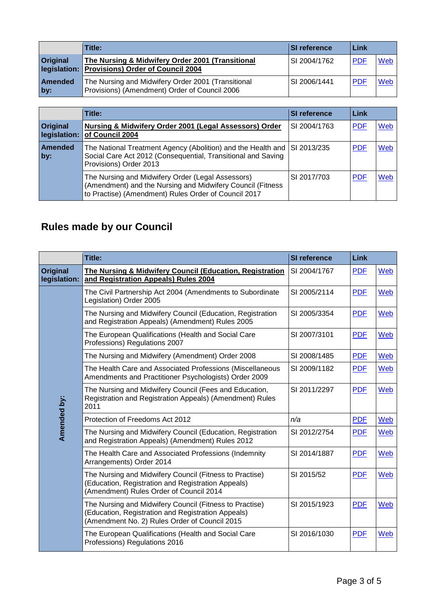|                       | Title:                                                                                              | <b>SI reference</b> | l Link      |     |
|-----------------------|-----------------------------------------------------------------------------------------------------|---------------------|-------------|-----|
| <b>Original</b>       | The Nursing & Midwifery Order 2001 (Transitional<br>legislation: Provisions) Order of Council 2004  | SI 2004/1762        | <b>PDF</b>  | Web |
| <b>Amended</b><br>by: | The Nursing and Midwifery Order 2001 (Transitional<br>Provisions) (Amendment) Order of Council 2006 | SI 2006/1441        | <b>IPDF</b> | Web |

|                                 | Title:                                                                                                                                                                  | SI reference | Link       |     |
|---------------------------------|-------------------------------------------------------------------------------------------------------------------------------------------------------------------------|--------------|------------|-----|
| <b>Original</b><br>legislation: | Nursing & Midwifery Order 2001 (Legal Assessors) Order<br>of Council 2004                                                                                               | SI 2004/1763 | <b>PDF</b> | Web |
| <b>Amended</b><br>by:           | The National Treatment Agency (Abolition) and the Health and SI 2013/235<br>Social Care Act 2012 (Consequential, Transitional and Saving<br>Provisions) Order 2013      |              | <b>PDF</b> | Web |
|                                 | The Nursing and Midwifery Order (Legal Assessors)<br>(Amendment) and the Nursing and Midwifery Council (Fitness<br>to Practise) (Amendment) Rules Order of Council 2017 | SI 2017/703  | <b>PDF</b> | Web |

## **Rules made by our Council**

|                          | Title:                                                                                                                                                         | <b>SI reference</b> | <b>Link</b> |     |
|--------------------------|----------------------------------------------------------------------------------------------------------------------------------------------------------------|---------------------|-------------|-----|
| Original<br>legislation: | The Nursing & Midwifery Council (Education, Registration<br>and Registration Appeals) Rules 2004                                                               | SI 2004/1767        | <b>PDF</b>  | Web |
|                          | The Civil Partnership Act 2004 (Amendments to Subordinate<br>Legislation) Order 2005                                                                           | SI 2005/2114        | <b>PDF</b>  | Web |
|                          | The Nursing and Midwifery Council (Education, Registration<br>and Registration Appeals) (Amendment) Rules 2005                                                 | SI 2005/3354        | <b>PDF</b>  | Web |
|                          | The European Qualifications (Health and Social Care<br>Professions) Regulations 2007                                                                           | SI 2007/3101        | <b>PDF</b>  | Web |
|                          | The Nursing and Midwifery (Amendment) Order 2008                                                                                                               | SI 2008/1485        | <b>PDF</b>  | Web |
|                          | The Health Care and Associated Professions (Miscellaneous<br>Amendments and Practitioner Psychologists) Order 2009                                             | SI 2009/1182        | <b>PDF</b>  | Web |
| <b>Amended by:</b>       | The Nursing and Midwifery Council (Fees and Education,<br>Registration and Registration Appeals) (Amendment) Rules<br>2011                                     | SI 2011/2297        | <b>PDF</b>  | Web |
|                          | Protection of Freedoms Act 2012                                                                                                                                | n/a                 | <b>PDF</b>  | Web |
|                          | The Nursing and Midwifery Council (Education, Registration<br>and Registration Appeals) (Amendment) Rules 2012                                                 | SI 2012/2754        | <b>PDF</b>  | Web |
|                          | The Health Care and Associated Professions (Indemnity<br>Arrangements) Order 2014                                                                              | SI 2014/1887        | <b>PDF</b>  | Web |
|                          | The Nursing and Midwifery Council (Fitness to Practise)<br>(Education, Registration and Registration Appeals)<br>(Amendment) Rules Order of Council 2014       | SI 2015/52          | <b>PDF</b>  | Web |
|                          | The Nursing and Midwifery Council (Fitness to Practise)<br>(Education, Registration and Registration Appeals)<br>(Amendment No. 2) Rules Order of Council 2015 | SI 2015/1923        | <b>PDF</b>  | Web |
|                          | The European Qualifications (Health and Social Care<br>Professions) Regulations 2016                                                                           | SI 2016/1030        | <b>PDF</b>  | Web |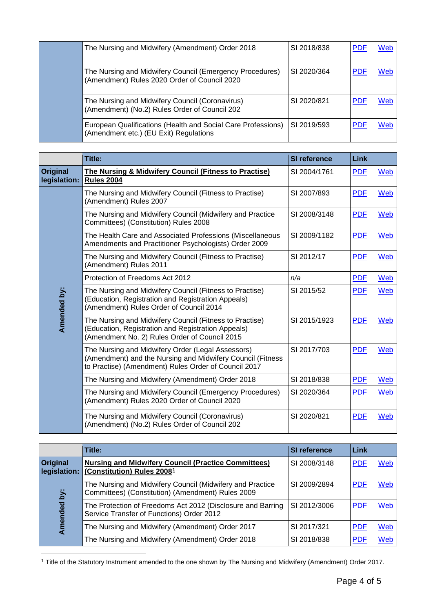|  | The Nursing and Midwifery (Amendment) Order 2018                                                         | SI 2018/838                                                                                            | <b>PDF</b>  | Web        |     |
|--|----------------------------------------------------------------------------------------------------------|--------------------------------------------------------------------------------------------------------|-------------|------------|-----|
|  | The Nursing and Midwifery Council (Emergency Procedures)<br>(Amendment) Rules 2020 Order of Council 2020 | SI 2020/364                                                                                            | <b>PDF</b>  | Web        |     |
|  | The Nursing and Midwifery Council (Coronavirus)<br>(Amendment) (No.2) Rules Order of Council 202         | SI 2020/821                                                                                            | <b>PDF</b>  | Web        |     |
|  |                                                                                                          | European Qualifications (Health and Social Care Professions)<br>(Amendment etc.) (EU Exit) Regulations | SI 2019/593 | <b>PDF</b> | Web |

|                                 | Title:                                                                                                                                                                  | SI reference | <b>Link</b> |     |
|---------------------------------|-------------------------------------------------------------------------------------------------------------------------------------------------------------------------|--------------|-------------|-----|
| <b>Original</b><br>legislation: | The Nursing & Midwifery Council (Fitness to Practise)<br><b>Rules 2004</b>                                                                                              | SI 2004/1761 | <b>PDF</b>  | Web |
|                                 | The Nursing and Midwifery Council (Fitness to Practise)<br>(Amendment) Rules 2007                                                                                       | SI 2007/893  | <b>PDF</b>  | Web |
|                                 | The Nursing and Midwifery Council (Midwifery and Practice<br>Committees) (Constitution) Rules 2008                                                                      | SI 2008/3148 | <b>PDF</b>  | Web |
|                                 | The Health Care and Associated Professions (Miscellaneous<br>Amendments and Practitioner Psychologists) Order 2009                                                      | SI 2009/1182 | <b>PDF</b>  | Web |
|                                 | The Nursing and Midwifery Council (Fitness to Practise)<br>(Amendment) Rules 2011                                                                                       | SI 2012/17   | <b>PDF</b>  | Web |
|                                 | Protection of Freedoms Act 2012                                                                                                                                         | n/a          | <b>PDF</b>  | Web |
| Amended by:                     | The Nursing and Midwifery Council (Fitness to Practise)<br>(Education, Registration and Registration Appeals)<br>(Amendment) Rules Order of Council 2014                | SI 2015/52   | <b>PDF</b>  | Web |
|                                 | The Nursing and Midwifery Council (Fitness to Practise)<br>(Education, Registration and Registration Appeals)<br>(Amendment No. 2) Rules Order of Council 2015          | SI 2015/1923 | <b>PDF</b>  | Web |
|                                 | The Nursing and Midwifery Order (Legal Assessors)<br>(Amendment) and the Nursing and Midwifery Council (Fitness<br>to Practise) (Amendment) Rules Order of Council 2017 | SI 2017/703  | <b>PDF</b>  | Web |
|                                 | The Nursing and Midwifery (Amendment) Order 2018                                                                                                                        | SI 2018/838  | <b>PDF</b>  | Web |
|                                 | The Nursing and Midwifery Council (Emergency Procedures)<br>(Amendment) Rules 2020 Order of Council 2020                                                                | SI 2020/364  | <b>PDF</b>  | Web |
|                                 | The Nursing and Midwifery Council (Coronavirus)<br>(Amendment) (No.2) Rules Order of Council 202                                                                        | SI 2020/821  | <b>PDF</b>  | Web |

|                                 | Title:                                                                                                         | SI reference | <b>Link</b> |            |
|---------------------------------|----------------------------------------------------------------------------------------------------------------|--------------|-------------|------------|
| <b>Original</b><br>legislation: | <b>Nursing and Midwifery Council (Practice Committees)</b><br>(Constitution) Rules 2008 <sup>1</sup>           | SI 2008/3148 | <b>PDF</b>  | <b>Web</b> |
| ä<br>Amended                    | The Nursing and Midwifery Council (Midwifery and Practice<br>Committees) (Constitution) (Amendment) Rules 2009 | SI 2009/2894 | <b>PDF</b>  | Web        |
|                                 | The Protection of Freedoms Act 2012 (Disclosure and Barring<br>Service Transfer of Functions) Order 2012       | SI 2012/3006 | <b>PDF</b>  | Web        |
|                                 | The Nursing and Midwifery (Amendment) Order 2017                                                               | SI 2017/321  | <b>PDF</b>  | Web        |
|                                 | The Nursing and Midwifery (Amendment) Order 2018                                                               | SI 2018/838  | <b>PDF</b>  | Web        |

<span id="page-3-0"></span> <sup>1</sup> Title of the Statutory Instrument amended to the one shown by The Nursing and Midwifery (Amendment) Order 2017.